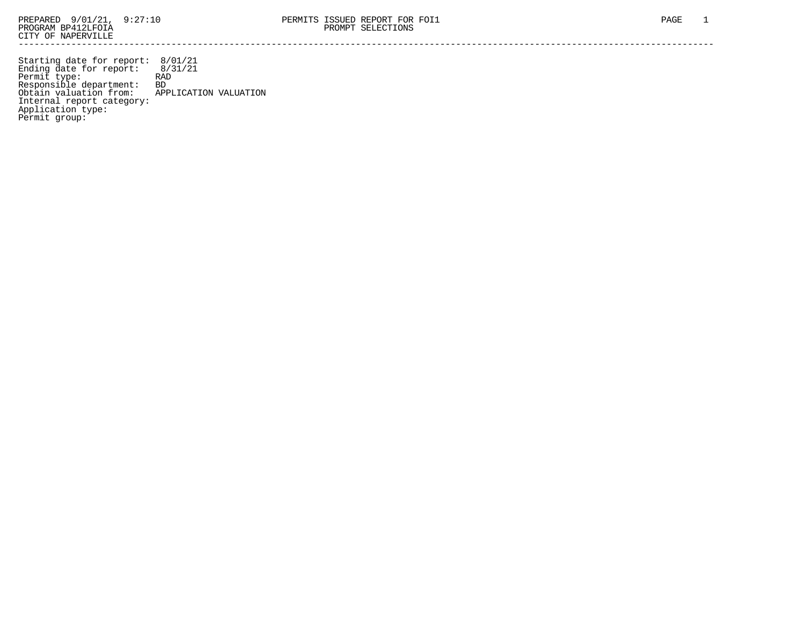Starting date for report: 8/01/21 Ending date for report: 8/31/21 Permit type: RAD Responsible department: BD Obtain valuation from: APPLICATION VALUATION Internal report category: Application type: Permit group: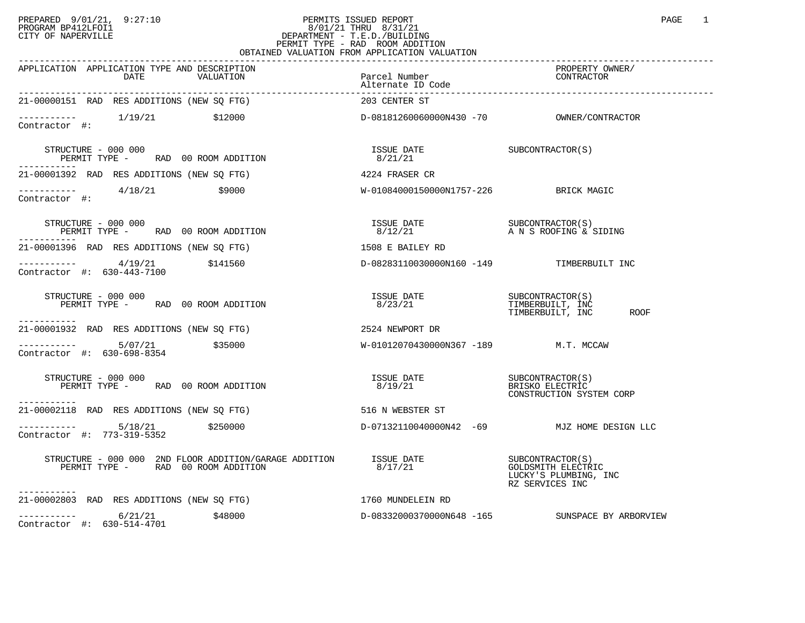## PREPARED 9/01/21, 9:27:10 PERMITS ISSUED REPORT PAGE 1 PROGRAM BP412LFOI1 8/01/21 THRU 8/31/21 CITY OF NAPERVILLE **Example 20** CITY OF NAPERVILLE PERMIT TYPE - RAD ROOM ADDITION OBTAINED VALUATION FROM APPLICATION VALUATION

| UDIIIIUD VIIDUIIIUN IKURI                                                                                                                                                                                                                                                                                                                                | THILLUILLUN VILLUILLUN                                                                                     |                                                                       |
|----------------------------------------------------------------------------------------------------------------------------------------------------------------------------------------------------------------------------------------------------------------------------------------------------------------------------------------------------------|------------------------------------------------------------------------------------------------------------|-----------------------------------------------------------------------|
| APPLICATION APPLICATION TYPE AND DESCRIPTION<br>DATE<br>VALUATION                                                                                                                                                                                                                                                                                        | Parcel Number                                                                                              | PROPERTY OWNER/<br>CONTRACTOR                                         |
| 21-00000151 RAD RES ADDITIONS (NEW SQ FTG)                                                                                                                                                                                                                                                                                                               | 203 CENTER ST                                                                                              |                                                                       |
| Contractor #:                                                                                                                                                                                                                                                                                                                                            |                                                                                                            |                                                                       |
| STRUCTURE - 000 000<br>PERMIT TYPE - RAD 00 ROOM ADDITION                                                                                                                                                                                                                                                                                                | $\begin{array}{ll}\n\text{ISSUE} & \text{DATE} \\ \text{0.03.03} & \text{0.01.03}\n\end{array}$<br>8/21/21 |                                                                       |
| 21-00001392 RAD RES ADDITIONS (NEW SQ FTG)                                                                                                                                                                                                                                                                                                               | 4224 FRASER CR                                                                                             |                                                                       |
| $--------$ 4/18/21<br>\$9000<br>Contractor #:                                                                                                                                                                                                                                                                                                            | W-01084000150000N1757-226 BRICK MAGIC                                                                      |                                                                       |
| STRUCTURE - 000 000<br>PERMIT TYPE - RAD 00 ROOM ADDITION                                                                                                                                                                                                                                                                                                | ISSUE DATE SUBCONTRACTOR(S)<br>8/12/21 A N S ROOFING & SIDING                                              |                                                                       |
| 21-00001396 RAD RES ADDITIONS (NEW SO FTG)                                                                                                                                                                                                                                                                                                               | 1508 E BAILEY RD                                                                                           |                                                                       |
| $\begin{array}{cccc}\n-2 & -2 & -2 & -2 \\ \text{Contractor} & +2 & 630-443-7100 & & 5141560\n\end{array}$                                                                                                                                                                                                                                               | D-08283110030000N160 -149 TIMBERBUILT INC                                                                  |                                                                       |
| STRUCTURE - 000 000<br>PERMIT TYPE - RAD 00 ROOM ADDITION<br>------------                                                                                                                                                                                                                                                                                |                                                                                                            | TIMBERBUILT, INC<br>ROOF                                              |
| 21-00001932 RAD RES ADDITIONS (NEW SQ FTG) 2524 NEWPORT DR                                                                                                                                                                                                                                                                                               |                                                                                                            |                                                                       |
| ---------- 5/07/21<br>\$35000<br>Contractor #: 630-698-8354                                                                                                                                                                                                                                                                                              | W-01012070430000N367 -189 M.T. MCCAW                                                                       |                                                                       |
| STRUCTURE - 000 000<br>PERMIT TYPE - RAD 00 ROOM ADDITION<br>-----------                                                                                                                                                                                                                                                                                 | ISSUE DATE<br>8/19/21                                                                                      | SUBCONTRACTOR(S)<br>BRISKO ELECTRIC<br>CONSTRUCTION SYSTEM CORP       |
| 21-00002118 RAD RES ADDITIONS (NEW SQ FTG)                                                                                                                                                                                                                                                                                                               | 516 N WEBSTER ST                                                                                           |                                                                       |
| $---------$ 5/18/21 \$250000<br>Contractor #: 773-319-5352                                                                                                                                                                                                                                                                                               |                                                                                                            | D-07132110040000N42 -69 MJZ HOME DESIGN LLC                           |
| $\begin{tabular}{llllll} \textbf{STRUCTURE} & - & 000 & 000 & 2ND \texttt{ FLOOR ADDITION} / \texttt{GARAGE ADDITION} & & & & & \texttt{ISSUE DATE} & & & & \texttt{SUBCONTRACTOR(S)} \\ \texttt{PERMIT TYPE} & - & \texttt{RAD} & 00 \texttt{ Room ADDITION} & & & & \texttt{8/17/21} & & & \texttt{GOLDSMITH ELECTRI} \\ \end{tabular}$<br>----------- |                                                                                                            | <b>GOLDSMITH ELECTRIC</b><br>LUCKY'S PLUMBING, INC<br>RZ SERVICES INC |
| 21-00002803 RAD RES ADDITIONS (NEW SO FTG)                                                                                                                                                                                                                                                                                                               | 1760 MUNDELEIN RD                                                                                          |                                                                       |
| $--------- 6/21/21$ \$48000<br>Contractor #: 630-514-4701                                                                                                                                                                                                                                                                                                | D-08332000370000N648 -165                                                                                  | SUNSPACE BY ARBORVIEW                                                 |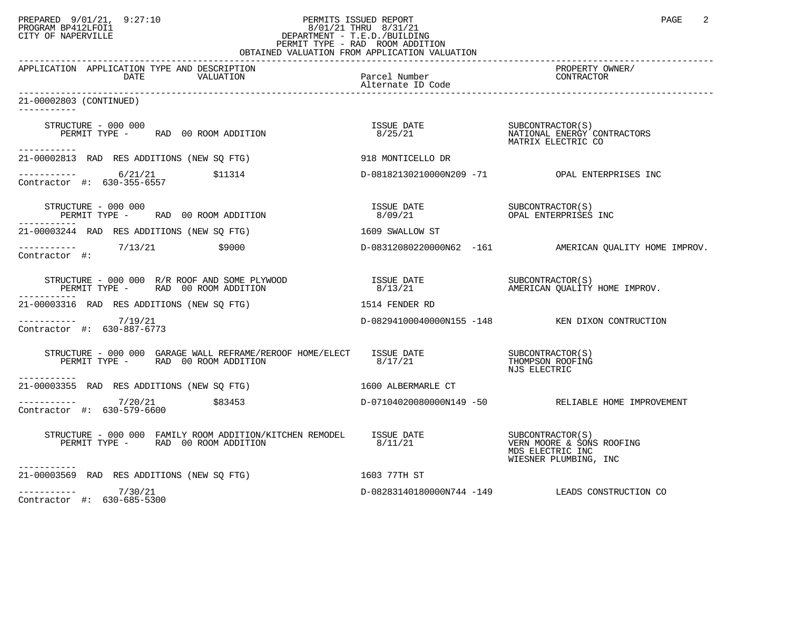## PREPARED 9/01/21, 9:27:10 PERMITS ISSUED REPORT PAGE 2 PROGRAM BP412LFOI1 8/01/21 THRU 8/31/21 CITY OF NAPERVILLE **Example 20** CITY OF NAPERVILLE PERMIT TYPE - RAD ROOM ADDITION OBTAINED VALUATION FROM APPLICATION VALUATION

| APPLICATION APPLICATION TYPE AND DESCRIPTION<br>DATE<br>VALUATION                                                                                                                                                                                                                                                                                                                                                                                                        | Parcel Number | PROPERTY OWNER/<br>CONTRACTOR                          |
|--------------------------------------------------------------------------------------------------------------------------------------------------------------------------------------------------------------------------------------------------------------------------------------------------------------------------------------------------------------------------------------------------------------------------------------------------------------------------|---------------|--------------------------------------------------------|
| 21-00002803 (CONTINUED)                                                                                                                                                                                                                                                                                                                                                                                                                                                  |               |                                                        |
| ------------                                                                                                                                                                                                                                                                                                                                                                                                                                                             |               |                                                        |
| STRUCTURE - 000 000<br>PERMIT TYPE - RAD 00 ROOM ADDITION<br>-----------                                                                                                                                                                                                                                                                                                                                                                                                 |               |                                                        |
| 21-00002813 RAD RES ADDITIONS (NEW SQ FTG) 918 MONTICELLO DR                                                                                                                                                                                                                                                                                                                                                                                                             |               |                                                        |
| $\begin{tabular}{ll} \texttt{----------} & \multicolumn{3}{l}{6/21/21} & \multicolumn{3}{l}{$511314} \\ \texttt{Contractor} & \texttt{#:} & 630-355-6557 \\ \end{tabular}$                                                                                                                                                                                                                                                                                               |               | D-08182130210000N209 -71 OPAL ENTERPRISES INC          |
| STRUCTURE - 000 000<br>PERMIT TYPE - RAD 00 ROOM ADDITION<br>-----------                                                                                                                                                                                                                                                                                                                                                                                                 |               |                                                        |
| 21-00003244 RAD RES ADDITIONS (NEW SQ FTG) 1609 SWALLOW ST                                                                                                                                                                                                                                                                                                                                                                                                               |               |                                                        |
| ----------- 7/13/21 \$9000<br>Contractor #:<br>Contractor #:                                                                                                                                                                                                                                                                                                                                                                                                             |               | D-08312080220000N62 -161 AMERICAN QUALITY HOME IMPROV. |
| STRUCTURE – 000 000 R/R ROOF AND SOME PLYWOOD TSSUE DATE SUBCONTRACTOR(S)<br>PERMIT TYPE – RAD 00 ROOM ADDITION 8/13/21 AMERICAN QUALITY HOME IMPROV.                                                                                                                                                                                                                                                                                                                    |               |                                                        |
| 1514 FENDER RD<br>21-00003316 RAD RES ADDITIONS (NEW SO FTG)                                                                                                                                                                                                                                                                                                                                                                                                             |               |                                                        |
| $--------- 7/19/21$<br>Contractor #: 630-887-6773                                                                                                                                                                                                                                                                                                                                                                                                                        |               | D-08294100040000N155 -148 KEN DIXON CONTRUCTION        |
| $\begin{tabular}{lllllllll} \textbf{STRUCTURE} & - & 000 & 000 & \textbf{GARAGE} & \textbf{WALL REFRAME/REROOF} & \textbf{HOME/ELECT} & \textbf{ISUE} & \textbf{DATE} & & & & \textbf{SUBCONTRACTOR(S)}\\ & & & & & & \textbf{PERMIT TYPE} & - & \textbf{RAD} & 00\textbf{ ROOT ADDITION} & \textbf{ADDITION} & \textbf{TOM} & \textbf{SUSCON TRACTOR} & \textbf{SUSCON TRACTOR} & \textbf{SUSON ROCFTNG} & \textbf{SUSON ROCFTNG} & \textbf{SUSON ROCFT$<br>----------- |               | NJS ELECTRIC                                           |
| 21-00003355 RAD RES ADDITIONS (NEW SQ FTG) 1600 ALBERMARLE CT                                                                                                                                                                                                                                                                                                                                                                                                            |               |                                                        |
| $      7/20/21$ $\frac{20}{21}$ $\frac{583453}{21}$<br>Contractor #: 630-579-6600                                                                                                                                                                                                                                                                                                                                                                                        |               | D-07104020080000N149 -50 RELIABLE HOME IMPROVEMENT     |
| -----------                                                                                                                                                                                                                                                                                                                                                                                                                                                              |               | MDS ELECTRIC INC<br>WIESNER PLUMBING, INC              |
| 21-00003569 RAD RES ADDITIONS (NEW SQ FTG)                                                                                                                                                                                                                                                                                                                                                                                                                               | 1603 77TH ST  |                                                        |
| $--------- 7/30/21$<br>Contractor #: 630-685-5300                                                                                                                                                                                                                                                                                                                                                                                                                        |               | D-08283140180000N744 -149 LEADS CONSTRUCTION CO        |